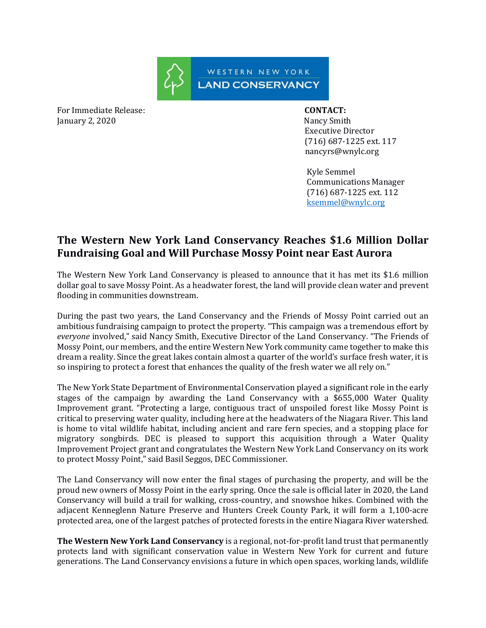

For Immediate Release: **CONTACT:**  January 2, 2020 Nancy Smith

 Executive Director (716) 687-1225 ext. 117 nancyrs@wnylc.org

 Kyle Semmel Communications Manager (716) 687-1225 ext. 112 [ksemmel@wnylc.org](mailto:ksemmel@wnylc.org)

## **The Western New York Land Conservancy Reaches \$1.6 Million Dollar Fundraising Goal and Will Purchase Mossy Point near East Aurora**

The Western New York Land Conservancy is pleased to announce that it has met its \$1.6 million dollar goal to save Mossy Point. As a headwater forest, the land will provide clean water and prevent flooding in communities downstream.

During the past two years, the Land Conservancy and the Friends of Mossy Point carried out an ambitious fundraising campaign to protect the property. "This campaign was a tremendous effort by *everyone* involved," said Nancy Smith, Executive Director of the Land Conservancy. "The Friends of Mossy Point, our members, and the entire Western New York community came together to make this dream a reality. Since the great lakes contain almost a quarter of the world's surface fresh water, it is so inspiring to protect a forest that enhances the quality of the fresh water we all rely on."

The New York State Department of Environmental Conservation played a significant role in the early stages of the campaign by awarding the Land Conservancy with a \$655,000 Water Quality Improvement grant. "Protecting a large, contiguous tract of unspoiled forest like Mossy Point is critical to preserving water quality, including here at the headwaters of the Niagara River. This land is home to vital wildlife habitat, including ancient and rare fern species, and a stopping place for migratory songbirds. DEC is pleased to support this acquisition through a Water Quality Improvement Project grant and congratulates the Western New York Land Conservancy on its work to protect Mossy Point," said Basil Seggos, DEC Commissioner.

The Land Conservancy will now enter the final stages of purchasing the property, and will be the proud new owners of Mossy Point in the early spring. Once the sale is official later in 2020, the Land Conservancy will build a trail for walking, cross-country, and snowshoe hikes. Combined with the adjacent Kenneglenn Nature Preserve and Hunters Creek County Park, it will form a 1,100-acre protected area, one of the largest patches of protected forests in the entire Niagara River watershed.

**The Western New York Land Conservancy** is a regional, not-for-profit land trust that permanently protects land with significant conservation value in Western New York for current and future generations. The Land Conservancy envisions a future in which open spaces, working lands, wildlife